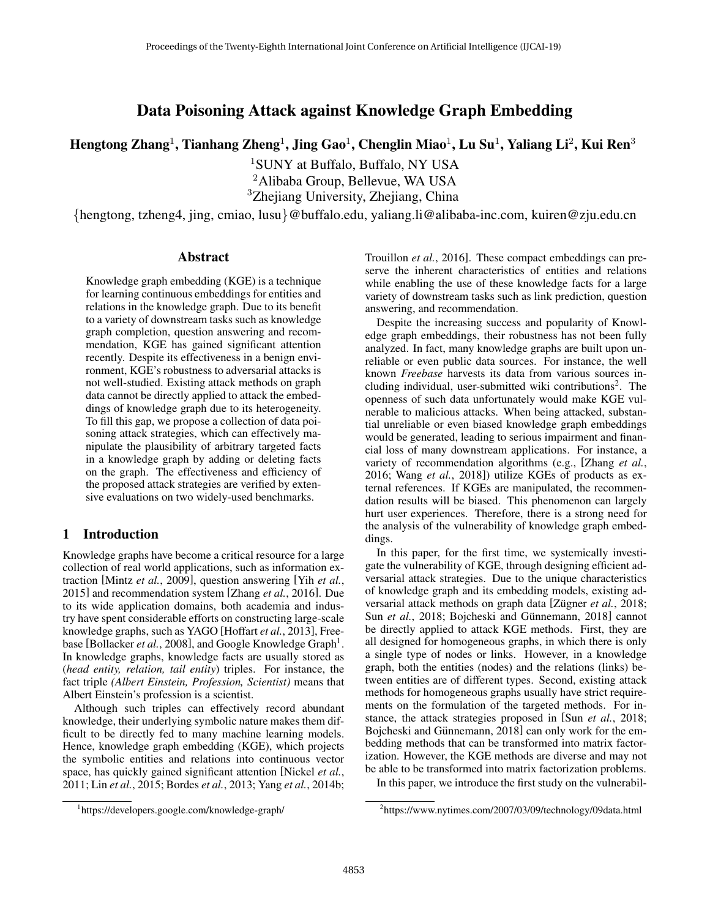# Data Poisoning Attack against Knowledge Graph Embedding

Hengtong Zhang<sup>1</sup>, Tianhang Zheng<sup>1</sup>, Jing Gao<sup>1</sup>, Chenglin Miao<sup>1</sup>, Lu Su<sup>1</sup>, Yaliang Li<sup>2</sup>, Kui Ren<sup>3</sup>

<sup>1</sup>SUNY at Buffalo, Buffalo, NY USA <sup>2</sup>Alibaba Group, Bellevue, WA USA <sup>3</sup>Zhejiang University, Zhejiang, China

{hengtong, tzheng4, jing, cmiao, lusu}@buffalo.edu, yaliang.li@alibaba-inc.com, kuiren@zju.edu.cn

## Abstract

Knowledge graph embedding (KGE) is a technique for learning continuous embeddings for entities and relations in the knowledge graph. Due to its benefit to a variety of downstream tasks such as knowledge graph completion, question answering and recommendation, KGE has gained significant attention recently. Despite its effectiveness in a benign environment, KGE's robustness to adversarial attacks is not well-studied. Existing attack methods on graph data cannot be directly applied to attack the embeddings of knowledge graph due to its heterogeneity. To fill this gap, we propose a collection of data poisoning attack strategies, which can effectively manipulate the plausibility of arbitrary targeted facts in a knowledge graph by adding or deleting facts on the graph. The effectiveness and efficiency of the proposed attack strategies are verified by extensive evaluations on two widely-used benchmarks.

## 1 Introduction

Knowledge graphs have become a critical resource for a large collection of real world applications, such as information extraction [Mintz *et al.*, 2009], question answering [Yih *et al.*, 2015] and recommendation system [Zhang *et al.*, 2016]. Due to its wide application domains, both academia and industry have spent considerable efforts on constructing large-scale knowledge graphs, such as YAGO [Hoffart *et al.*, 2013], Freebase [Bollacker et al., 2008], and Google Knowledge Graph<sup>1</sup>. In knowledge graphs, knowledge facts are usually stored as (*head entity, relation, tail entity*) triples. For instance, the fact triple *(Albert Einstein, Profession, Scientist)* means that Albert Einstein's profession is a scientist.

Although such triples can effectively record abundant knowledge, their underlying symbolic nature makes them difficult to be directly fed to many machine learning models. Hence, knowledge graph embedding (KGE), which projects the symbolic entities and relations into continuous vector space, has quickly gained significant attention [Nickel *et al.*, 2011; Lin *et al.*, 2015; Bordes *et al.*, 2013; Yang *et al.*, 2014b; Trouillon *et al.*, 2016]. These compact embeddings can preserve the inherent characteristics of entities and relations while enabling the use of these knowledge facts for a large variety of downstream tasks such as link prediction, question answering, and recommendation.

Despite the increasing success and popularity of Knowledge graph embeddings, their robustness has not been fully analyzed. In fact, many knowledge graphs are built upon unreliable or even public data sources. For instance, the well known *Freebase* harvests its data from various sources including individual, user-submitted wiki contributions<sup>2</sup>. The openness of such data unfortunately would make KGE vulnerable to malicious attacks. When being attacked, substantial unreliable or even biased knowledge graph embeddings would be generated, leading to serious impairment and financial loss of many downstream applications. For instance, a variety of recommendation algorithms (e.g., [Zhang *et al.*, 2016; Wang *et al.*, 2018]) utilize KGEs of products as external references. If KGEs are manipulated, the recommendation results will be biased. This phenomenon can largely hurt user experiences. Therefore, there is a strong need for the analysis of the vulnerability of knowledge graph embeddings.

In this paper, for the first time, we systemically investigate the vulnerability of KGE, through designing efficient adversarial attack strategies. Due to the unique characteristics of knowledge graph and its embedding models, existing adversarial attack methods on graph data [Zügner et al., 2018; Sun *et al.*, 2018; Bojcheski and Günnemann, 2018] cannot be directly applied to attack KGE methods. First, they are all designed for homogeneous graphs, in which there is only a single type of nodes or links. However, in a knowledge graph, both the entities (nodes) and the relations (links) between entities are of different types. Second, existing attack methods for homogeneous graphs usually have strict requirements on the formulation of the targeted methods. For instance, the attack strategies proposed in [Sun *et al.*, 2018; Bojcheski and Günnemann, 2018 can only work for the embedding methods that can be transformed into matrix factorization. However, the KGE methods are diverse and may not be able to be transformed into matrix factorization problems.

In this paper, we introduce the first study on the vulnerabil-

<sup>1</sup> https://developers.google.com/knowledge-graph/

<sup>&</sup>lt;sup>2</sup>https://www.nytimes.com/2007/03/09/technology/09data.html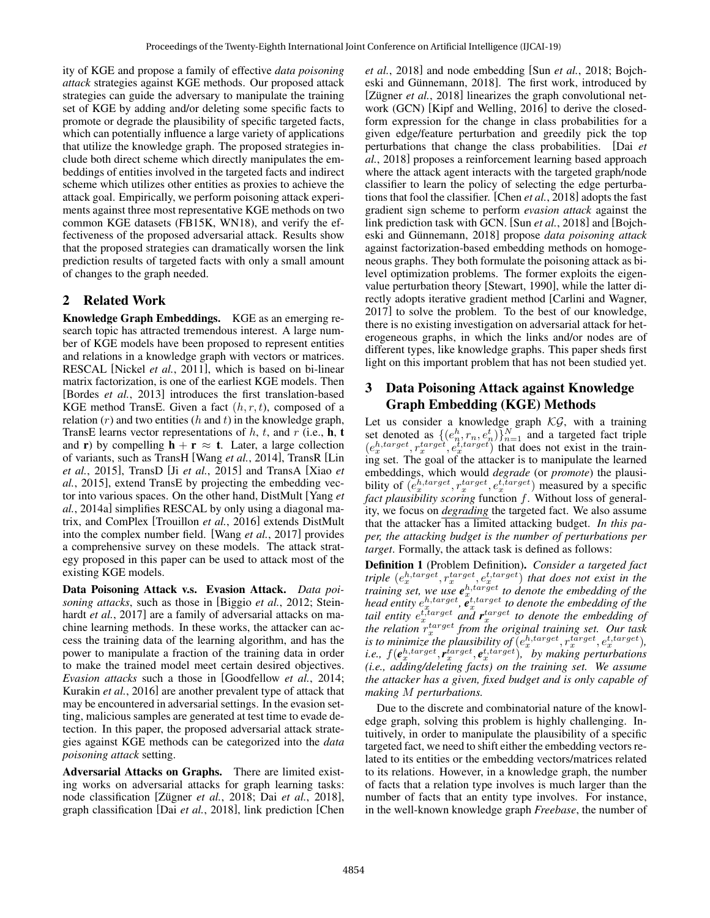ity of KGE and propose a family of effective *data poisoning attack* strategies against KGE methods. Our proposed attack strategies can guide the adversary to manipulate the training set of KGE by adding and/or deleting some specific facts to promote or degrade the plausibility of specific targeted facts, which can potentially influence a large variety of applications that utilize the knowledge graph. The proposed strategies include both direct scheme which directly manipulates the embeddings of entities involved in the targeted facts and indirect scheme which utilizes other entities as proxies to achieve the attack goal. Empirically, we perform poisoning attack experiments against three most representative KGE methods on two common KGE datasets (FB15K, WN18), and verify the effectiveness of the proposed adversarial attack. Results show that the proposed strategies can dramatically worsen the link prediction results of targeted facts with only a small amount of changes to the graph needed.

# 2 Related Work

Knowledge Graph Embeddings. KGE as an emerging research topic has attracted tremendous interest. A large number of KGE models have been proposed to represent entities and relations in a knowledge graph with vectors or matrices. RESCAL [Nickel *et al.*, 2011], which is based on bi-linear matrix factorization, is one of the earliest KGE models. Then [Bordes *et al.*, 2013] introduces the first translation-based KGE method TransE. Given a fact  $(h, r, t)$ , composed of a relation  $(r)$  and two entities  $(h \text{ and } t)$  in the knowledge graph, TransE learns vector representations of  $h$ ,  $t$ , and  $r$  (i.e.,  $h$ ,  $t$ and **r**) by compelling  $h + r \approx t$ . Later, a large collection of variants, such as TransH [Wang *et al.*, 2014], TransR [Lin *et al.*, 2015], TransD [Ji *et al.*, 2015] and TransA [Xiao *et al.*, 2015], extend TransE by projecting the embedding vector into various spaces. On the other hand, DistMult [Yang *et al.*, 2014a] simplifies RESCAL by only using a diagonal matrix, and ComPlex [Trouillon *et al.*, 2016] extends DistMult into the complex number field. [Wang *et al.*, 2017] provides a comprehensive survey on these models. The attack strategy proposed in this paper can be used to attack most of the existing KGE models.

Data Poisoning Attack v.s. Evasion Attack. *Data poisoning attacks*, such as those in [Biggio *et al.*, 2012; Steinhardt *et al.*, 2017] are a family of adversarial attacks on machine learning methods. In these works, the attacker can access the training data of the learning algorithm, and has the power to manipulate a fraction of the training data in order to make the trained model meet certain desired objectives. *Evasion attacks* such a those in [Goodfellow *et al.*, 2014; Kurakin *et al.*, 2016] are another prevalent type of attack that may be encountered in adversarial settings. In the evasion setting, malicious samples are generated at test time to evade detection. In this paper, the proposed adversarial attack strategies against KGE methods can be categorized into the *data poisoning attack* setting.

Adversarial Attacks on Graphs. There are limited existing works on adversarial attacks for graph learning tasks: node classification [Zügner et al., 2018; Dai et al., 2018], graph classification [Dai *et al.*, 2018], link prediction [Chen *et al.*, 2018] and node embedding [Sun *et al.*, 2018; Bojcheski and Günnemann, 2018]. The first work, introduced by [Zügner et al., 2018] linearizes the graph convolutional network (GCN) [Kipf and Welling, 2016] to derive the closedform expression for the change in class probabilities for a given edge/feature perturbation and greedily pick the top perturbations that change the class probabilities. [Dai *et al.*, 2018] proposes a reinforcement learning based approach where the attack agent interacts with the targeted graph/node classifier to learn the policy of selecting the edge perturbations that fool the classifier. [Chen *et al.*, 2018] adopts the fast gradient sign scheme to perform *evasion attack* against the link prediction task with GCN. [Sun *et al.*, 2018] and [Bojcheski and Günnemann, 2018] propose *data poisoning attack* against factorization-based embedding methods on homogeneous graphs. They both formulate the poisoning attack as bilevel optimization problems. The former exploits the eigenvalue perturbation theory [Stewart, 1990], while the latter directly adopts iterative gradient method [Carlini and Wagner, 2017] to solve the problem. To the best of our knowledge, there is no existing investigation on adversarial attack for heterogeneous graphs, in which the links and/or nodes are of different types, like knowledge graphs. This paper sheds first light on this important problem that has not been studied yet.

## 3 Data Poisoning Attack against Knowledge Graph Embedding (KGE) Methods

Let us consider a knowledge graph  $\mathcal{KG}$ , with a training set denoted as  $\{(e_n^h, r_n, e_n^t)\}_{n=1}^N$  and a targeted fact triple  $(e_x^{h, target}, r_x^{target}, e_x^{t, target})$  that does not exist in the training set. The goal of the attacker is to manipulate the learned embeddings, which would *degrade* (or *promote*) the plausibility of  $(e_x^{h, target}, r_x^{target}, e_x^{t, target})$  measured by a specific *fact plausibility scoring* function f. Without loss of generality, we focus on *degrading* the targeted fact. We also assume that the attacker has a limited attacking budget. *In this paper, the attacking budget is the number of perturbations per target*. Formally, the attack task is defined as follows:

Definition 1 (Problem Definition). *Consider a targeted fact triple*  $(e_x^{h, target}, r_x^{target}, e_x^{t, target})$  *that does not exist in the training set, we use*  $e^{h,tar\tilde{g}et}$  to denote the embedding of the head entity  $e^{h,target}_x$ ,  $e^{t,target}_x$  to denote the embedding of the tail entity  $e_x^{t, target}$  and  $r_x^{target}$  to denote the embedding of *the relation* r target *from the original training set. Our task* is to minimize the plausibility of  $(e^{h,\text{target}}_x, r^{target}_x, e^{t,\text{target}}_x)$ , *i.e.,*  $f(e_x^{h,target}, r_x^{target}, e_x^{t,target})$ , by making perturbations *(i.e., adding/deleting facts) on the training set. We assume the attacker has a given, fixed budget and is only capable of making* M *perturbations.*

Due to the discrete and combinatorial nature of the knowledge graph, solving this problem is highly challenging. Intuitively, in order to manipulate the plausibility of a specific targeted fact, we need to shift either the embedding vectors related to its entities or the embedding vectors/matrices related to its relations. However, in a knowledge graph, the number of facts that a relation type involves is much larger than the number of facts that an entity type involves. For instance, in the well-known knowledge graph *Freebase*, the number of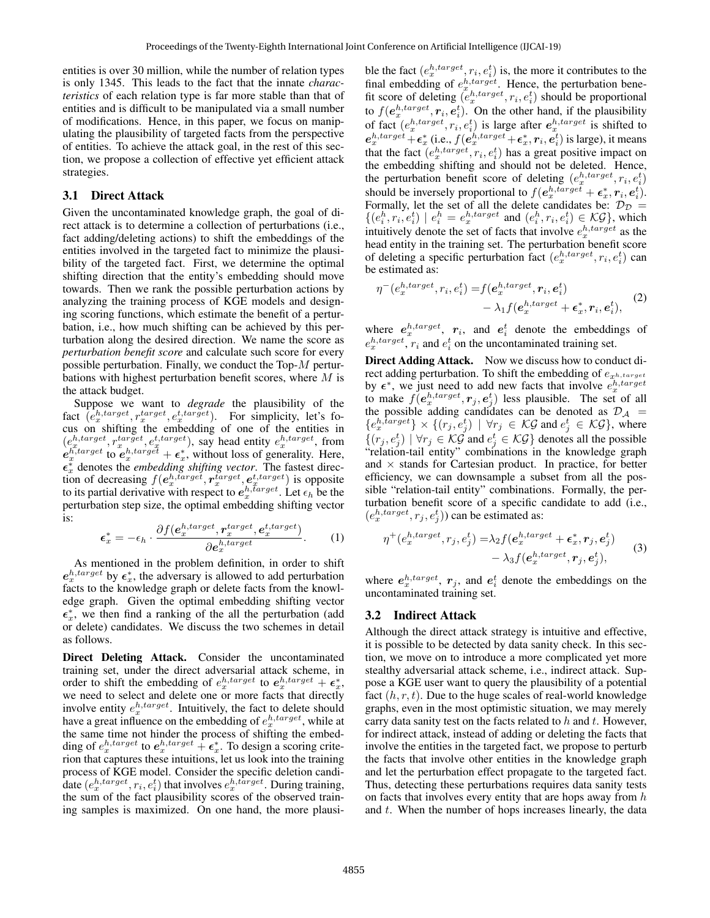entities is over 30 million, while the number of relation types is only 1345. This leads to the fact that the innate *characteristics* of each relation type is far more stable than that of entities and is difficult to be manipulated via a small number of modifications. Hence, in this paper, we focus on manipulating the plausibility of targeted facts from the perspective of entities. To achieve the attack goal, in the rest of this section, we propose a collection of effective yet efficient attack strategies.

## 3.1 Direct Attack

Given the uncontaminated knowledge graph, the goal of direct attack is to determine a collection of perturbations (i.e., fact adding/deleting actions) to shift the embeddings of the entities involved in the targeted fact to minimize the plausibility of the targeted fact. First, we determine the optimal shifting direction that the entity's embedding should move towards. Then we rank the possible perturbation actions by analyzing the training process of KGE models and designing scoring functions, which estimate the benefit of a perturbation, i.e., how much shifting can be achieved by this perturbation along the desired direction. We name the score as *perturbation benefit score* and calculate such score for every possible perturbation. Finally, we conduct the Top-M perturbations with highest perturbation benefit scores, where M is the attack budget.

Suppose we want to *degrade* the plausibility of the fact  $\left(\hat{e}_x^{h, target}, r_x^{target}, e_x^{t, target}\right)$ . For simplicity, let's foract  $(e_x, e_y, e_x, e_y)$ . For simplicity, let s identities in  $(e_x^{h, target}, r_x^{target}, e_x^{t, target})$ , say head entity  $e_x^{h, target}$ , from  $e_x^{h,\text{target}}$  to  $e_x^{h,\text{target}} + \epsilon_x^*$ , without loss of generality. Here,  $\epsilon_x^*$  denotes the *embedding shifting vector*. The fastest direction of decreasing  $f(e_x^{h, target}, r_x^{target}, e_x^{t, target})$  is opposite to its partial derivative with respect to  $e_x^{h,\tilde{t} \alpha rget}$ . Let  $\epsilon_h$  be the perturbation step size, the optimal embedding shifting vector is:

$$
\boldsymbol{\epsilon}_x^* = -\epsilon_h \cdot \frac{\partial f(\boldsymbol{e}_x^{h, target}, \boldsymbol{r}_x^{target}, \boldsymbol{e}_x^{t, target})}{\partial \boldsymbol{e}_x^{h, target}}.
$$
 (1)

As mentioned in the problem definition, in order to shift  $e_x^{h, target}$  by  $\epsilon_x^*$ , the adversary is allowed to add perturbation facts to the knowledge graph or delete facts from the knowledge graph. Given the optimal embedding shifting vector  $\epsilon_x^*$ , we then find a ranking of the all the perturbation (add or delete) candidates. We discuss the two schemes in detail as follows.

Direct Deleting Attack. Consider the uncontaminated training set, under the direct adversarial attack scheme, in order to shift the embedding of  $e_x^{h, target}$  to  $e_x^{h, target} + \epsilon_x^*$ , we need to select and delete one or more facts that directly involve entity  $e_x^{h, target}$ . Intuitively, the fact to delete should have a great influence on the embedding of  $e_x^{h, target}$ , while at the same time not hinder the process of shifting the embedding of  $e_x^{h, target}$  to  $e_x^{h, target} + \epsilon_x^*$ . To design a scoring criterion that captures these intuitions, let us look into the training process of KGE model. Consider the specific deletion candidate  $(e_x^{h, target}, r_i, e_i^t)$  that involves  $e_x^{h, target}$ . During training, the sum of the fact plausibility scores of the observed training samples is maximized. On one hand, the more plausi-

ble the fact  $(e_x^{h, target}, r_i, e_i^t)$  is, the more it contributes to the final embedding of  $e_{x}^{h, target}$ . Hence, the perturbation benefit score of deleting  $(e_x^{h, target}, r_i, e_i^t)$  should be proportional to  $f(e_x^{h, target}, r_i, e_i^t)$ . On the other hand, if the plausibility of fact  $(e_x^{h, target}, r_i, e_i^t)$  is large after  $e_x^{h, target}$  is shifted to  $e_x^{h,target} + \epsilon_x^*$  (i.e.,  $f(e_x^{h,target} + \epsilon_x^*, r_i, e_i^t)$  is large), it means that the fact  $(e_x^{h, target}, r_i, e_i^t)$  has a great positive impact on the embedding shifting and should not be deleted. Hence, the perturbation benefit score of deleting  $(e_x^{h, target}, r_i, e_i^t)$ should be inversely proportional to  $f(e_x^{h, target} + \epsilon_x^*, r_i, e_i^t)$ . Formally, let the set of all the delete candidates be:  $\mathcal{D}_{\mathcal{D}} =$  $\{(e_i^h, r_i, e_i^t) \mid e_i^h = e_x^{h, target} \text{ and } (e_i^h, r_i, e_i^t) \in \mathcal{KG}\}, \text{which}$ intuitively denote the set of facts that involve  $e_x^{h, target}$  as the head entity in the training set. The perturbation benefit score of deleting a specific perturbation fact  $(e_x^{h, target}, r_i, e_i^t)$  can be estimated as:

$$
\eta^{-}(e_x^{h, target}, r_i, e_i^t) = f(e_x^{h, target}, r_i, e_i^t) \n- \lambda_1 f(e_x^{h, target} + \epsilon_x^*, r_i, e_i^t),
$$
\n(2)

where  $e_x^{h, target}$ ,  $r_i$ , and  $e_i^t$  denote the embeddings of  $e_x^{h, target}$ ,  $r_i$  and  $e_i^t$  on the uncontaminated training set.

Direct Adding Attack. Now we discuss how to conduct direct adding perturbation. To shift the embedding of  $e_{x^{h,target}}$ by  $\epsilon^*$ , we just need to add new facts that involve  $e_x^{h, target}$ to make  $f(e_x^{h, target}, r_j, e_j^t)$  less plausible. The set of all the possible adding candidates can be denoted as  $\mathcal{D}_{\mathcal{A}}$  =  $\{e_x^{h,\overline{target}}\}\times\{(r_j,e_j^t) \mid \forall r_j \in \mathcal{KG} \text{ and } e_j^t \in \mathcal{KG}\}\text{, where}$  $\{(r_j, e_j^t) \mid \forall r_j \in \mathcal{KG} \text{ and } e_j^t \in \mathcal{KG}\}$  denotes all the possible "relation-tail entity" combinations in the knowledge graph and  $\times$  stands for Cartesian product. In practice, for better efficiency, we can downsample a subset from all the possible "relation-tail entity" combinations. Formally, the perturbation benefit score of a specific candidate to add (i.e.,  $(e_x^{h, target}, r_j, e_j^t))$  can be estimated as:

$$
\eta^+(e_x^{h, target}, r_j, e_j^t) = \lambda_2 f(e_x^{h, target} + \epsilon_x^*, r_j, e_j^t) - \lambda_3 f(e_x^{h, target}, r_j, e_j^t),
$$
\n(3)

where  $e_x^{h, target}$ ,  $r_j$ , and  $e_i^t$  denote the embeddings on the uncontaminated training set.

## 3.2 Indirect Attack

Although the direct attack strategy is intuitive and effective, it is possible to be detected by data sanity check. In this section, we move on to introduce a more complicated yet more stealthy adversarial attack scheme, i.e., indirect attack. Suppose a KGE user want to query the plausibility of a potential fact  $(h, r, t)$ . Due to the huge scales of real-world knowledge graphs, even in the most optimistic situation, we may merely carry data sanity test on the facts related to  $h$  and  $t$ . However, for indirect attack, instead of adding or deleting the facts that involve the entities in the targeted fact, we propose to perturb the facts that involve other entities in the knowledge graph and let the perturbation effect propagate to the targeted fact. Thus, detecting these perturbations requires data sanity tests on facts that involves every entity that are hops away from  $h$ and  $t$ . When the number of hops increases linearly, the data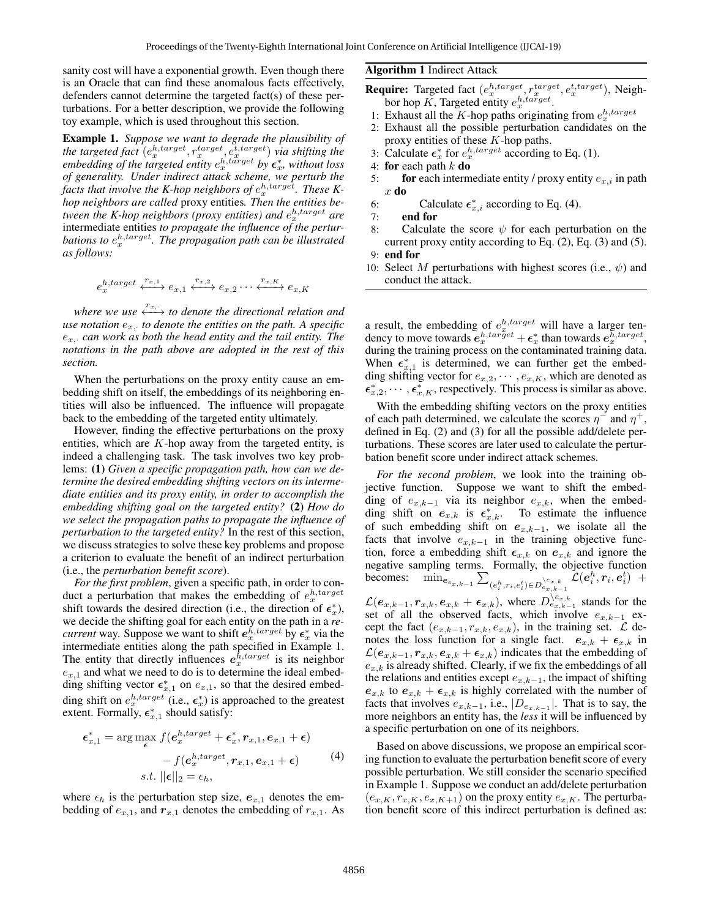sanity cost will have a exponential growth. Even though there is an Oracle that can find these anomalous facts effectively, defenders cannot determine the targeted fact(s) of these perturbations. For a better description, we provide the following toy example, which is used throughout this section.

Example 1. *Suppose we want to degrade the plausibility of* the targeted fact  $(e_x^{h, target}, r_x^{target}, e_x^{t, target})$  *via shifting the embedding of the targeted entity*  $e_x^{h,t\bar{a}rget}$  *by*  $\epsilon_x^*$ *, without loss of generality. Under indirect attack scheme, we perturb the* facts that involve the K-hop neighbors of  $e_x^{h, \text{target}}$ . These K*hop neighbors are called* proxy entities*. Then the entities be*tween the K-hop neighbors (proxy entities) and  $e_x^{h, target}$  are intermediate entities *to propagate the influence of the perturbations to*  $e_x^{h, target}$ *. The propagation path can be illustrated as follows:*

$$
e_x^{h, target} \xleftrightarrow{\,r_{x,1}\,} e_{x,1} \xleftrightarrow{\,r_{x,2}\,} e_{x,2} \cdots \xleftrightarrow{\,r_{x,K}\,} e_{x,K}
$$

*where we use*  $\longleftrightarrow^{\tau_x, \cdot}$  to denote the directional relation and  $\mu$  *use notation*  $e_{x}$ , to denote the entities on the path. A specific  $e_{x}$ , *can work as both the head entity and the tail entity. The notations in the path above are adopted in the rest of this section.*

When the perturbations on the proxy entity cause an embedding shift on itself, the embeddings of its neighboring entities will also be influenced. The influence will propagate back to the embedding of the targeted entity ultimately.

However, finding the effective perturbations on the proxy entities, which are  $K$ -hop away from the targeted entity, is indeed a challenging task. The task involves two key problems: (1) *Given a specific propagation path, how can we determine the desired embedding shifting vectors on its intermediate entities and its proxy entity, in order to accomplish the embedding shifting goal on the targeted entity?* (2) *How do we select the propagation paths to propagate the influence of perturbation to the targeted entity?* In the rest of this section, we discuss strategies to solve these key problems and propose a criterion to evaluate the benefit of an indirect perturbation (i.e., the *perturbation benefit score*).

*For the first problem*, given a specific path, in order to conduct a perturbation that makes the embedding of  $e_x^{h, target}$ shift towards the desired direction (i.e., the direction of  $\epsilon_x^*$ ), we decide the shifting goal for each entity on the path in a *recurrent* way. Suppose we want to shift  $e_x^{h, target}$  by  $e_x^*$  via the intermediate entities along the path specified in Example 1. The entity that directly influences  $e_{x}^{\bar{h}, target}$  is its neighbor  $e_{x,1}$  and what we need to do is to determine the ideal embedding shifting vector  $\epsilon_{x,1}^*$  on  $e_{x,1}$ , so that the desired embedding shift on  $e_x^{h, target}$  (i.e.,  $\epsilon_x^*$ ) is approached to the greatest extent. Formally,  $\epsilon_{x,1}^*$  should satisfy:

$$
\epsilon_{x,1}^* = \arg\max_{\epsilon} f(e_x^{h, target} + \epsilon_x^*, r_{x,1}, e_{x,1} + \epsilon) - f(e_x^{h, target}, r_{x,1}, e_{x,1} + \epsilon) - s.t. ||\epsilon||_2 = \epsilon_h,
$$
\n(4)

where  $\epsilon_h$  is the perturbation step size,  $e_{x,1}$  denotes the embedding of  $e_{x,1}$ , and  $r_{x,1}$  denotes the embedding of  $r_{x,1}$ . As

#### Algorithm 1 Indirect Attack

- **Require:** Targeted fact  $(e_x^{h, target}, r_x^{target}, e_x^{t, target})$ , Neighbor hop  $\tilde{K}$ , Targeted entity  $e_x^{h, \text{target}}$ .
- 1: Exhaust all the K-hop paths originating from  $e_x^{h, target}$
- 2: Exhaust all the possible perturbation candidates on the proxy entities of these  $K$ -hop paths.
- 3: Calculate  $\epsilon_x^*$  for  $e_x^{h, target}$  according to Eq. (1).
- 4: for each path  $k$  do
- 5: **for** each intermediate entity / proxy entity  $e_{x,i}$  in path x do
- 6: Calculate  $\epsilon_{x,i}^*$  according to Eq. (4).
- 7: end for
- 8: Calculate the score  $\psi$  for each perturbation on the current proxy entity according to Eq. (2), Eq. (3) and (5).
- 9: end for
- 10: Select M perturbations with highest scores (i.e.,  $\psi$ ) and conduct the attack.

a result, the embedding of  $e_x^{h, target}$  will have a larger tendency to move towards  $e_x^{h,tar\tilde{g}et} + \epsilon_x^*$  than towards  $e_x^{h,target}$ , during the training process on the contaminated training data. When  $\epsilon_{x,1}^*$  is determined, we can further get the embedding shifting vector for  $e_{x,2}, \dots, e_{x,K}$ , which are denoted as  $\epsilon_{x,2}^*, \cdots, \epsilon_{x,K}^*$ , respectively. This process is similar as above.

With the embedding shifting vectors on the proxy entities of each path determined, we calculate the scores  $\eta^-$  and  $\eta^+$ , defined in Eq. (2) and (3) for all the possible add/delete perturbations. These scores are later used to calculate the perturbation benefit score under indirect attack schemes.

*For the second problem*, we look into the training objective function. Suppose we want to shift the embedding of  $e_{x,k-1}$  via its neighbor  $e_{x,k}$ , when the embedding shift on  $e_{x,k}$  is  $\epsilon_{x,k}^*$ . To estimate the influence of such embedding shift on  $e_{x,k-1}$ , we isolate all the facts that involve  $e_{x,k-1}$  in the training objective function, force a embedding shift  $\epsilon_{x,k}$  on  $e_{x,k}$  and ignore the negative sampling terms. Formally, the objective function becomes:  $\min_{\boldsymbol{e}_{e_{x,k-1}}} \sum_{(e_i^h, r_i, e_i^t) \in D_{e_x, k-1}^{\setminus e_{x,k}}} \hat{\mathcal{L}}(\boldsymbol{e}_i^h, r_i, \boldsymbol{e}_i^t)$  +  $\mathcal{L}(e_{x,k-1}, r_{x,k}, e_{x,k} + \epsilon_{x,k})$ , where  $D_{e_{x,k-1}}^{\setminus e_{x,k}}$  stands for the set of all the observed facts, which involve  $e_{x,k-1}$  except the fact  $(e_{x,k-1}, r_{x,k}, e_{x,k})$ , in the training set.  $\mathcal L$  denotes the loss function for a single fact.  $e_{x,k} + \epsilon_{x,k}$  in  $\mathcal{L}(e_{x,k-1}, r_{x,k}, e_{x,k} + \epsilon_{x,k})$  indicates that the embedding of  $e_{x,k}$  is already shifted. Clearly, if we fix the embeddings of all the relations and entities except  $e_{x,k-1}$ , the impact of shifting  $e_{x,k}$  to  $e_{x,k} + \epsilon_{x,k}$  is highly correlated with the number of facts that involves  $e_{x,k-1}$ , i.e.,  $|D_{e_{x,k-1}}|$ . That is to say, the more neighbors an entity has, the *less* it will be influenced by a specific perturbation on one of its neighbors.

Based on above discussions, we propose an empirical scoring function to evaluate the perturbation benefit score of every possible perturbation. We still consider the scenario specified in Example 1. Suppose we conduct an add/delete perturbation  $(e_{x,K}, r_{x,K}, e_{x,K+1})$  on the proxy entity  $e_{x,K}$ . The perturbation benefit score of this indirect perturbation is defined as: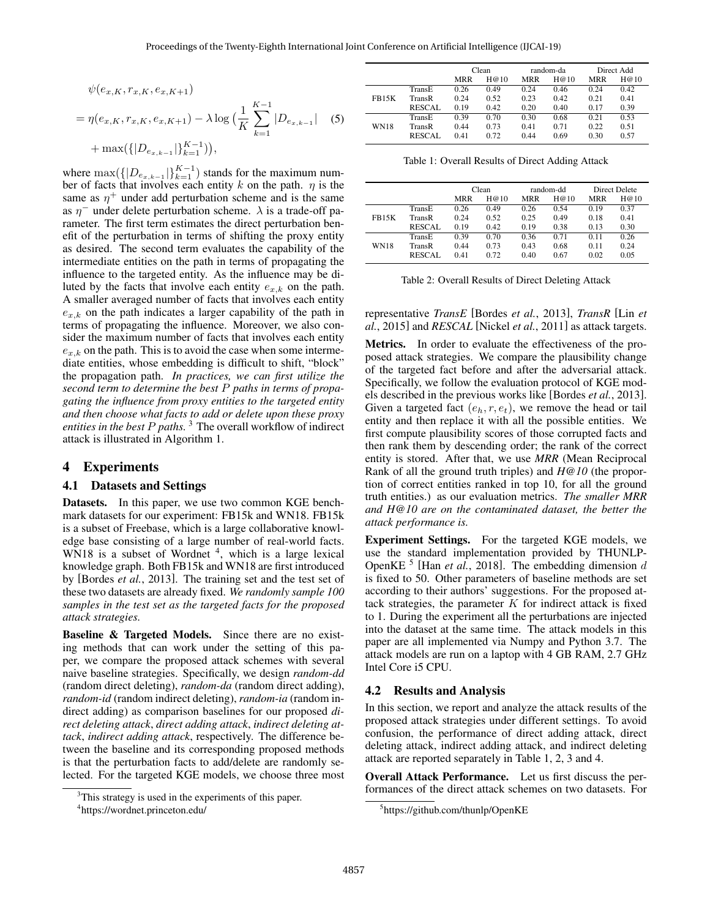$$
\psi(e_{x,K}, r_{x,K}, e_{x,K+1})
$$
\n
$$
= \eta(e_{x,K}, r_{x,K}, e_{x,K+1}) - \lambda \log \left( \frac{1}{K} \sum_{k=1}^{K-1} |D_{e_{x,k-1}}| \right) \tag{5}
$$
\n
$$
+ \max\left( \{ |D_{e_{x,k-1}}| \}_{k=1}^{K-1} \right),
$$

where  $\max(\{|D_{e_{x,k-1}}|\}_{k=1}^{K-1})$  stands for the maximum number of facts that involves each entity k on the path.  $\eta$  is the same as  $\eta^+$  under add perturbation scheme and is the same as  $\eta^-$  under delete perturbation scheme.  $\lambda$  is a trade-off parameter. The first term estimates the direct perturbation benefit of the perturbation in terms of shifting the proxy entity as desired. The second term evaluates the capability of the intermediate entities on the path in terms of propagating the influence to the targeted entity. As the influence may be diluted by the facts that involve each entity  $e_{x,k}$  on the path. A smaller averaged number of facts that involves each entity  $e_{x,k}$  on the path indicates a larger capability of the path in terms of propagating the influence. Moreover, we also consider the maximum number of facts that involves each entity  $e_{x,k}$  on the path. This is to avoid the case when some intermediate entities, whose embedding is difficult to shift, "block" the propagation path. *In practices, we can first utilize the second term to determine the best* P *paths in terms of propagating the influence from proxy entities to the targeted entity and then choose what facts to add or delete upon these proxy entities in the best* P *paths.* <sup>3</sup> The overall workflow of indirect attack is illustrated in Algorithm 1.

## 4 Experiments

#### 4.1 Datasets and Settings

Datasets. In this paper, we use two common KGE benchmark datasets for our experiment: FB15k and WN18. FB15k is a subset of Freebase, which is a large collaborative knowledge base consisting of a large number of real-world facts. WN18 is a subset of Wordnet  $4$ , which is a large lexical knowledge graph. Both FB15k and WN18 are first introduced by [Bordes *et al.*, 2013]. The training set and the test set of these two datasets are already fixed. *We randomly sample 100 samples in the test set as the targeted facts for the proposed attack strategies.*

Baseline & Targeted Models. Since there are no existing methods that can work under the setting of this paper, we compare the proposed attack schemes with several naive baseline strategies. Specifically, we design *random-dd* (random direct deleting), *random-da* (random direct adding), *random-id* (random indirect deleting), *random-ia* (random indirect adding) as comparison baselines for our proposed *direct deleting attack*, *direct adding attack*, *indirect deleting attack*, *indirect adding attack*, respectively. The difference between the baseline and its corresponding proposed methods is that the perturbation facts to add/delete are randomly selected. For the targeted KGE models, we choose three most

|              |               | Clean      |      | random-da  |      | Direct Add |      |
|--------------|---------------|------------|------|------------|------|------------|------|
|              |               | <b>MRR</b> | H@10 | <b>MRR</b> | H@10 | <b>MRR</b> | H@10 |
| <b>FB15K</b> | TransE        | 0.26       | 0.49 | 0.24       | 0.46 | 0.24       | 0.42 |
|              | TransR        | 0.24       | 0.52 | 0.23       | 0.42 | 0.21       | 0.41 |
|              | <b>RESCAL</b> | 0.19       | 0.42 | 0.20       | 0.40 | 0.17       | 0.39 |
| <b>WN18</b>  | TransE        | 0.39       | 0.70 | 0.30       | 0.68 | 0.21       | 0.53 |
|              | TransR        | 0.44       | 0.73 | 0.41       | 0.71 | 0.22       | 0.51 |
|              | <b>RESCAL</b> | 0.41       | 0.72 | 0.44       | 0.69 | 0.30       | 0.57 |

Table 1: Overall Results of Direct Adding Attack

|              |               | Clean      |      | random-dd  |      | Direct Delete |      |
|--------------|---------------|------------|------|------------|------|---------------|------|
|              |               | <b>MRR</b> | H@10 | <b>MRR</b> | H@10 | <b>MRR</b>    | H@10 |
| <b>FB15K</b> | TransE        | 0.26       | 0.49 | 0.26       | 0.54 | 0.19          | 0.37 |
|              | TransR        | 0.24       | 0.52 | 0.25       | 0.49 | 0.18          | 0.41 |
|              | <b>RESCAL</b> | 0.19       | 0.42 | 0.19       | 0.38 | 0.13          | 0.30 |
| <b>WN18</b>  | TransE        | 0.39       | 0.70 | 0.36       | 0.71 | 0.11          | 0.26 |
|              | TransR        | 0.44       | 0.73 | 0.43       | 0.68 | 0.11          | 0.24 |
|              | <b>RESCAL</b> | 0.41       | 0.72 | 0.40       | 0.67 | 0.02          | 0.05 |

Table 2: Overall Results of Direct Deleting Attack

representative *TransE* [Bordes *et al.*, 2013], *TransR* [Lin *et al.*, 2015] and *RESCAL* [Nickel *et al.*, 2011] as attack targets.

Metrics. In order to evaluate the effectiveness of the proposed attack strategies. We compare the plausibility change of the targeted fact before and after the adversarial attack. Specifically, we follow the evaluation protocol of KGE models described in the previous works like [Bordes *et al.*, 2013]. Given a targeted fact  $(e_h, r, e_t)$ , we remove the head or tail entity and then replace it with all the possible entities. We first compute plausibility scores of those corrupted facts and then rank them by descending order; the rank of the correct entity is stored. After that, we use *MRR* (Mean Reciprocal Rank of all the ground truth triples) and *H@10* (the proportion of correct entities ranked in top 10, for all the ground truth entities.) as our evaluation metrics. *The smaller MRR and H@10 are on the contaminated dataset, the better the attack performance is.*

Experiment Settings. For the targeted KGE models, we use the standard implementation provided by THUNLP-OpenKE<sup>5</sup> [Han *et al.*, 2018]. The embedding dimension d is fixed to 50. Other parameters of baseline methods are set according to their authors' suggestions. For the proposed attack strategies, the parameter  $K$  for indirect attack is fixed to 1. During the experiment all the perturbations are injected into the dataset at the same time. The attack models in this paper are all implemented via Numpy and Python 3.7. The attack models are run on a laptop with 4 GB RAM, 2.7 GHz Intel Core i5 CPU.

#### 4.2 Results and Analysis

In this section, we report and analyze the attack results of the proposed attack strategies under different settings. To avoid confusion, the performance of direct adding attack, direct deleting attack, indirect adding attack, and indirect deleting attack are reported separately in Table 1, 2, 3 and 4.

Overall Attack Performance. Let us first discuss the performances of the direct attack schemes on two datasets. For

<sup>&</sup>lt;sup>3</sup>This strategy is used in the experiments of this paper.

<sup>4</sup> https://wordnet.princeton.edu/

<sup>5</sup> https://github.com/thunlp/OpenKE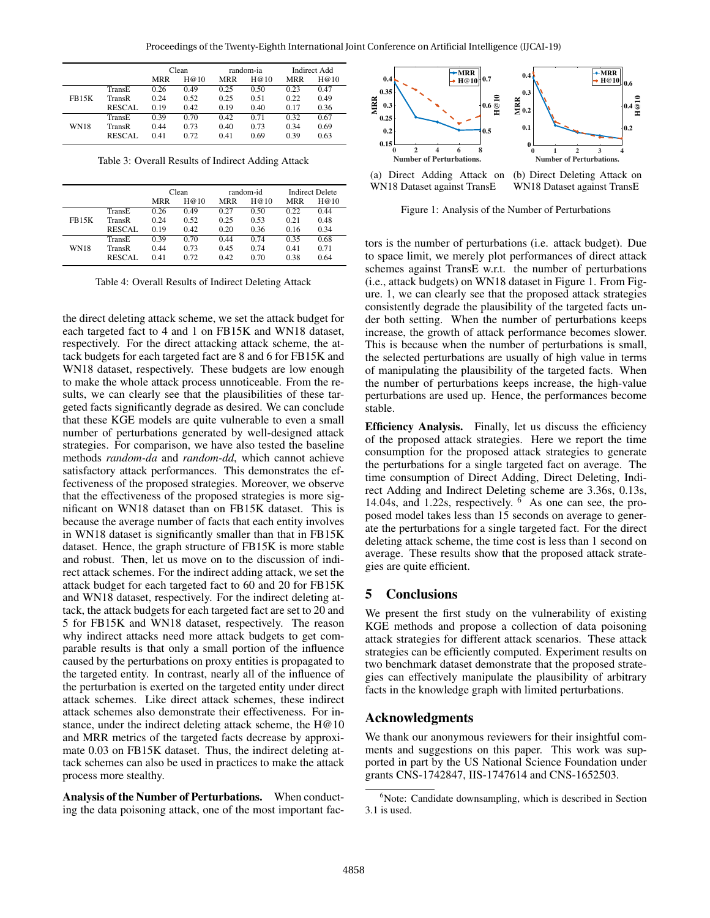|               | Clean      |      | random-ia  |      | Indirect Add |      |
|---------------|------------|------|------------|------|--------------|------|
|               | <b>MRR</b> | H@10 | <b>MRR</b> | H@10 | <b>MRR</b>   | H@10 |
| TransE        | 0.26       | 0.49 | 0.25       | 0.50 | 0.23         | 0.47 |
| TransR        | 0.24       | 0.52 | 0.25       | 0.51 | 0.22         | 0.49 |
| <b>RESCAL</b> | 0.19       | 0.42 | 0.19       | 0.40 | 0.17         | 0.36 |
| TransE        | 0.39       | 0.70 | 0.42       | 0.71 | 0.32         | 0.67 |
| TransR        | 0.44       | 0.73 | 0.40       | 0.73 | 0.34         | 0.69 |
| <b>RESCAL</b> | 0.41       | 0.72 | 0.41       | 0.69 | 0.39         | 0.63 |
|               |            |      |            |      |              |      |

Table 3: Overall Results of Indirect Adding Attack

|              |               | Clean      |      | random-id  |      | <b>Indirect Delete</b> |      |
|--------------|---------------|------------|------|------------|------|------------------------|------|
|              |               | <b>MRR</b> | H@10 | <b>MRR</b> | H@10 | <b>MRR</b>             | H@10 |
| <b>FB15K</b> | TransE        | 0.26       | 0.49 | 0.27       | 0.50 | 0.22                   | 0.44 |
|              | TransR        | 0.24       | 0.52 | 0.25       | 0.53 | 0.21                   | 0.48 |
|              | <b>RESCAL</b> | 0.19       | 0.42 | 0.20       | 0.36 | 0.16                   | 0.34 |
| <b>WN18</b>  | TransE        | 0.39       | 0.70 | 0.44       | 0.74 | 0.35                   | 0.68 |
|              | TransR        | 0.44       | 0.73 | 0.45       | 0.74 | 0.41                   | 0.71 |
|              | <b>RESCAL</b> | 0.41       | 0.72 | 0.42       | 0.70 | 0.38                   | 0.64 |

Table 4: Overall Results of Indirect Deleting Attack

the direct deleting attack scheme, we set the attack budget for each targeted fact to 4 and 1 on FB15K and WN18 dataset, respectively. For the direct attacking attack scheme, the attack budgets for each targeted fact are 8 and 6 for FB15K and WN18 dataset, respectively. These budgets are low enough to make the whole attack process unnoticeable. From the results, we can clearly see that the plausibilities of these targeted facts significantly degrade as desired. We can conclude that these KGE models are quite vulnerable to even a small number of perturbations generated by well-designed attack strategies. For comparison, we have also tested the baseline methods *random-da* and *random-dd*, which cannot achieve satisfactory attack performances. This demonstrates the effectiveness of the proposed strategies. Moreover, we observe that the effectiveness of the proposed strategies is more significant on WN18 dataset than on FB15K dataset. This is because the average number of facts that each entity involves in WN18 dataset is significantly smaller than that in FB15K dataset. Hence, the graph structure of FB15K is more stable and robust. Then, let us move on to the discussion of indirect attack schemes. For the indirect adding attack, we set the attack budget for each targeted fact to 60 and 20 for FB15K and WN18 dataset, respectively. For the indirect deleting attack, the attack budgets for each targeted fact are set to 20 and 5 for FB15K and WN18 dataset, respectively. The reason why indirect attacks need more attack budgets to get comparable results is that only a small portion of the influence caused by the perturbations on proxy entities is propagated to the targeted entity. In contrast, nearly all of the influence of the perturbation is exerted on the targeted entity under direct attack schemes. Like direct attack schemes, these indirect attack schemes also demonstrate their effectiveness. For instance, under the indirect deleting attack scheme, the H@10 and MRR metrics of the targeted facts decrease by approximate 0.03 on FB15K dataset. Thus, the indirect deleting attack schemes can also be used in practices to make the attack process more stealthy.

Analysis of the Number of Perturbations. When conducting the data poisoning attack, one of the most important fac-



WN18 Dataset against TransE WN18 Dataset against TransE

Figure 1: Analysis of the Number of Perturbations

tors is the number of perturbations (i.e. attack budget). Due to space limit, we merely plot performances of direct attack schemes against TransE w.r.t. the number of perturbations (i.e., attack budgets) on WN18 dataset in Figure 1. From Figure. 1, we can clearly see that the proposed attack strategies consistently degrade the plausibility of the targeted facts under both setting. When the number of perturbations keeps increase, the growth of attack performance becomes slower. This is because when the number of perturbations is small, the selected perturbations are usually of high value in terms of manipulating the plausibility of the targeted facts. When the number of perturbations keeps increase, the high-value perturbations are used up. Hence, the performances become stable.

Efficiency Analysis. Finally, let us discuss the efficiency of the proposed attack strategies. Here we report the time consumption for the proposed attack strategies to generate the perturbations for a single targeted fact on average. The time consumption of Direct Adding, Direct Deleting, Indirect Adding and Indirect Deleting scheme are 3.36s, 0.13s, 14.04s, and 1.22s, respectively. <sup>6</sup> As one can see, the proposed model takes less than 15 seconds on average to generate the perturbations for a single targeted fact. For the direct deleting attack scheme, the time cost is less than 1 second on average. These results show that the proposed attack strategies are quite efficient.

## 5 Conclusions

We present the first study on the vulnerability of existing KGE methods and propose a collection of data poisoning attack strategies for different attack scenarios. These attack strategies can be efficiently computed. Experiment results on two benchmark dataset demonstrate that the proposed strategies can effectively manipulate the plausibility of arbitrary facts in the knowledge graph with limited perturbations.

## Acknowledgments

We thank our anonymous reviewers for their insightful comments and suggestions on this paper. This work was supported in part by the US National Science Foundation under grants CNS-1742847, IIS-1747614 and CNS-1652503.

<sup>&</sup>lt;sup>6</sup>Note: Candidate downsampling, which is described in Section 3.1 is used.